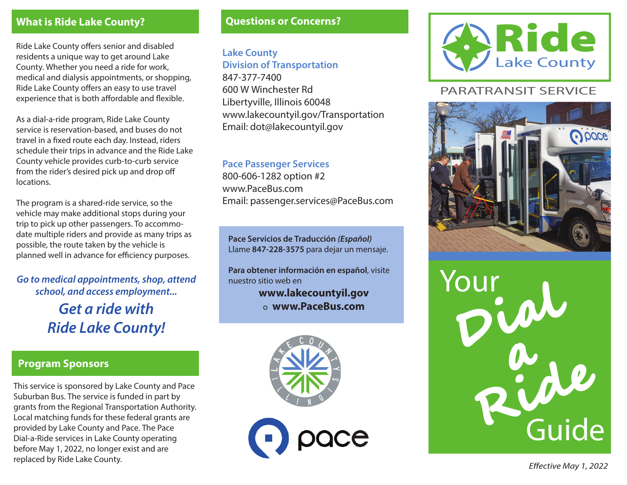### **What is Ride Lake County?**

Ride Lake County offers senior and disabled residents a unique way to get around Lake County. Whether you need a ride for work, medical and dialysis appointments, or shopping, Ride Lake County offers an easy to use travel experience that is both affordable and flexible.

As a dial-a-ride program, Ride Lake County service is reservation-based, and buses do not travel in a fixed route each day. Instead, riders schedule their trips in advance and the Ride Lake County vehicle provides curb-to-curb service from the rider's desired pick up and drop off locations.

The program is a shared-ride service, so the vehicle may make additional stops during your trip to pick up other passengers. To accommodate multiple riders and provide as many trips as possible, the route taken by the vehicle is planned well in advance for efficiency purposes.

*Go to medical appointments, shop, attend school, and access employment...*

> *Get a ride withRide Lake County!*

### **Program Sponsors**

This service is sponsored by Lake County and Pace Suburban Bus. The service is funded in part by grants from the Regional Transportation Authority. Local matching funds for these federal grants are provided by Lake County and Pace. The Pace Dial-a-Ride services in Lake County operating before May 1, 2022, no longer exist and are replaced by Ride Lake County.

### **Questions or Concerns?**

**Lake County Division of Transportation** 847-377-7400 600 W Winchester RdLibertyville, Illinois 60048 www.lakecountyil.gov/Transportation Email: dot@lakecountyil.gov

#### **Pace Passenger Services**

800-606-1282 option #2 www.PaceBus.comEmail: passenger.services@PaceBus.com

**Pace Servicios de Traducción** *(Español)* Llame **847-228-3575** para dejar un mensaje.

**Para obtener información en español**, visite nuestro sitio web en

> **www.lakecountyil.gov** o **www.PaceBus.com**





# PARATRANSIT SERVICE



**Dial a**Your<br>
Pial<br>
Ride<br>
Guide

Effective May 1, 2022